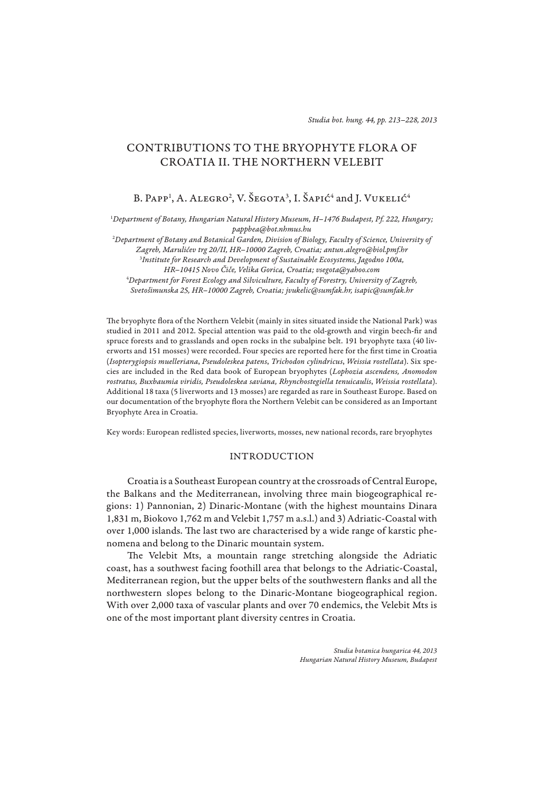# CONTRIBUTIONS TO THE BRYOPHYTE FLORA OF CROATIA II. THE NORTHERN VELEBIT

B. Papp<sup>1</sup>, A. Alegro<sup>2</sup>, V. Šegota<sup>3</sup>, I. Šapić<sup>4</sup> and J. Vukelić<sup>4</sup>

1 *Department of Botany, Hungarian Natural History Museum, H–1476 Budapest, Pf. 222, Hungary; pappbea@bot.nhmus.hu*

2 *Department of Botany and Botanical Garden, Division of Biology, Faculty of Science, University of Zagreb, Marulićev trg 20/II, HR–10000 Zagreb, Croatia; antun.alegro@biol.pmf.hr* 3 *Institute for Research and Development of Sustainable Ecosystems, Jagodno 100a, HR–10415 Novo Čiče, Velika Gorica, Croatia; vsegota@yahoo.com* 4 *Department for Forest Ecology and Silviculture, Faculty of Forestry, University of Zagreb, Svetošimunska 25, HR–10000 Zagreb, Croatia; jvukelic@sumfak.hr, isapic@sumfak.hr*

The bryophyte flora of the Northern Velebit (mainly in sites situated inside the National Park) was studied in 2011 and 2012. Special attention was paid to the old-growth and virgin beech-fir and spruce forests and to grasslands and open rocks in the subalpine belt. 191 bryophyte taxa (40 liverworts and 151 mosses) were recorded. Four species are reported here for the first time in Croatia (*Isopte rygiopsis muelleriana*, *Pseudoleskea patens*, *Trichodon cylindricus*, *Weissia rostellata*). Six species are included in the Red data book of European bryophytes (*Lophozia ascendens, Anomodon rostratus, Buxbaumia viridis, Pseudoleskea saviana, Rhynchostegiella tenuicaulis*, *Weissia rostellata*). Additional 18 taxa (5 liverworts and 13 mosses) are regarded as rare in Southeast Europe. Based on our documentation of the bryophyte flora the Northern Velebit can be considered as an Important Bryophyte Area in Croatia.

Key words: European redlisted species, liverworts, mosses, new national records, rare bryophytes

# INTRODUCTION

Croatia is a Southeast European country at the crossroads of Central Europe, the Balkans and the Mediterranean, involving three main biogeographical regions: 1) Pannonian, 2) Dinaric-Montane (with the highest mountains Dinara 1,831 m, Biokovo 1,762 m and Velebit 1,757 m a.s.l.) and 3) Adriatic-Coastal with over 1,000 islands. The last two are characterised by a wide range of karstic phenomena and belong to the Dinaric mountain system.

The Velebit Mts, a mountain range stretching alongside the Adriatic coast, has a southwest facing foothill area that belongs to the Adriatic-Coastal, Mediterranean region, but the upper belts of the southwestern flanks and all the northwestern slopes belong to the Dinaric-Montane biogeographical region. With over 2,000 taxa of vascular plants and over 70 endemics, the Velebit Mts is one of the most important plant diversity centres in Croatia.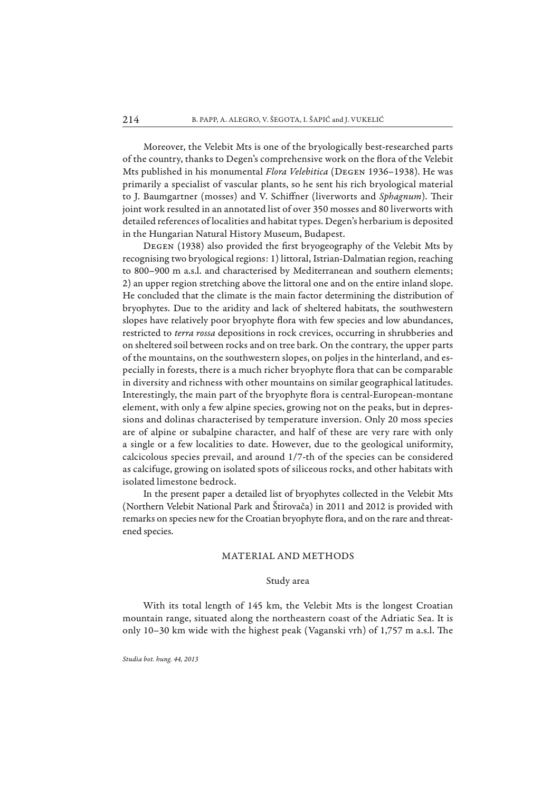Moreover, the Velebit Mts is one of the bryologically best-researched parts of the country, thanks to Degen's comprehensive work on the flora of the Velebit Mts published in his monumental *Flora Velebitica* (Degen 1936–1938). He was primarily a specialist of vascular plants, so he sent his rich bryological material to J. Baumgartner (mosses) and V. Schiffner (liverworts and *Sphagnum*). Their joint work resulted in an annotated list of over 350 mosses and 80 liverworts with detailed references of localities and habitat types. Degen's herbarium is deposited in the Hungarian Natural History Museum, Budapest.

DEGEN (1938) also provided the first bryogeography of the Velebit Mts by recognising two bryological regions: 1) littoral, Istrian-Dalmatian region, reaching to 800–900 m a.s.l. and characterised by Mediterranean and southern elements; 2) an upper region stretching above the littoral one and on the entire inland slope. He concluded that the climate is the main factor determining the distribution of bryophytes. Due to the aridity and lack of sheltered habitats, the southwestern slopes have relatively poor bryophyte flora with few species and low abundances, restricted to *terra rossa* depositions in rock crevices, occurring in shrubberies and on sheltered soil between rocks and on tree bark. On the contrary, the upper parts of the mountains, on the southwestern slopes, on poljes in the hinterland, and especially in forests, there is a much richer bryophyte flora that can be comparable in diversity and richness with other mountains on similar geographical latitudes. Interestingly, the main part of the bryophyte flora is central-European-montane element, with only a few alpine species, growing not on the peaks, but in depressions and dolinas characterised by temperature inversion. Only 20 moss species are of alpine or subalpine character, and half of these are very rare with only a single or a few localities to date. However, due to the geological uniformity, calcicolous species prevail, and around 1/7-th of the species can be considered as calcifuge, growing on isolated spots of siliceous rocks, and other habitats with isolated limestone bedrock.

In the present paper a detailed list of bryophytes collected in the Velebit Mts (Northern Velebit National Park and Štirovača) in 2011 and 2012 is provided with remarks on species new for the Croatian bryophyte flora, and on the rare and threatened species.

### MATERIAL AND METHODS

## Study area

With its total length of 145 km, the Velebit Mts is the longest Croatian mountain range, situated along the northeastern coast of the Adriatic Sea. It is only 10-30 km wide with the highest peak (Vaganski vrh) of 1,757 m a.s.l. The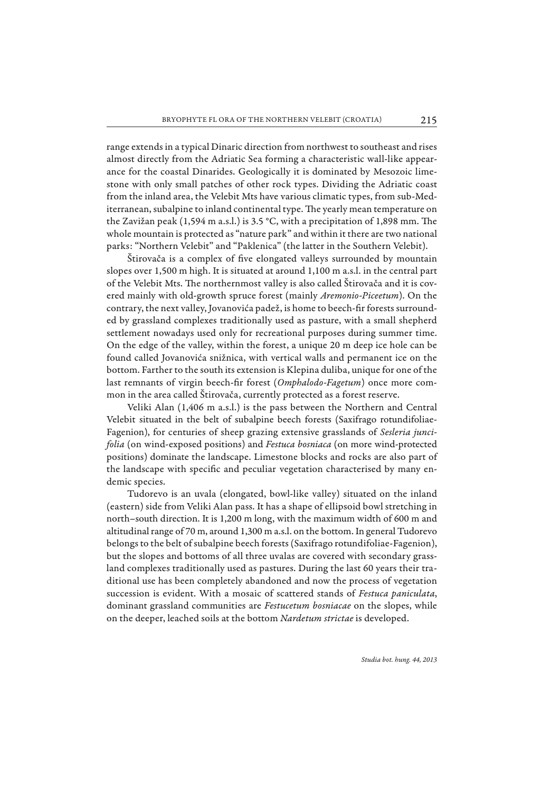range extends in a typical Dinaric direction from northwest to southeast and rises almost directly from the Adriatic Sea forming a characteristic wall-like appearance for the coastal Dinarides. Geologically it is dominated by Mesozoic limestone with only small patches of other rock types. Dividing the Adriatic coast from the inland area, the Velebit Mts have various climatic types, from sub-Mediterranean, subalpine to inland continental type. The yearly mean temperature on the Zavižan peak  $(1,594 \text{ m a.s.}!)$  is 3.5 °C, with a precipitation of 1,898 mm. The whole mountain is protected as "nature park" and within it there are two national parks: "Northern Velebit" and "Paklenica" (the latter in the Southern Velebit).

Štirovača is a complex of five elongated valleys surrounded by mountain slopes over 1,500 m high. It is situated at around 1,100 m a.s.l. in the central part of the Velebit Mts. The northernmost valley is also called Štirovača and it is covered mainly with old-growth spruce forest (mainly *Aremonio-Piceetum*). On the contrary, the next valley, Jovanovića padež, is home to beech-fir forests surrounded by grassland complexes traditionally used as pasture, with a small shepherd settlement nowadays used only for recreational purposes during summer time. On the edge of the valley, within the forest, a unique 20 m deep ice hole can be found called Jovanovića snižnica, with vertical walls and permanent ice on the bottom. Farther to the south its extension is Klepina duliba, unique for one of the last remnants of virgin beech-fir forest (Omphalodo-Fagetum) once more common in the area called Štirovača, currently protected as a forest reserve.

Veliki Alan (1,406 m a.s.l.) is the pass between the Northern and Central Velebit situated in the belt of subalpine beech forests (Saxifrago rotundifoliae-Fagenion), for centuries of sheep grazing extensive grasslands of *Sesleria juncifolia* (on wind-exposed positions) and *Festuca bosniaca* (on more wind-protected positions) dominate the landscape. Limestone blocks and rocks are also part of the landscape with specific and peculiar vegetation characterised by many endemic species.

Tudorevo is an uvala (elongated, bowl-like valley) situated on the inland (eastern) side from Veliki Alan pass. It has a shape of ellipsoid bowl stretching in north–south direction. It is 1,200 m long, with the maximum width of 600 m and altitudinal range of 70 m, around 1,300 m a.s.l. on the bottom. In general Tudorevo belongs to the belt of subalpine beech forests (Saxifrago rotundifoliae-Fagenion), but the slopes and bottoms of all three uvalas are covered with secondary grassland complexes traditionally used as pastures. During the last 60 years their traditional use has been completely abandoned and now the process of vegetation succession is evident. With a mosaic of scattered stands of *Festuca paniculata*, dominant grassland communities are *Festucetum bosniacae* on the slopes, while on the deeper, leached soils at the bottom *Nardetum strictae* is developed.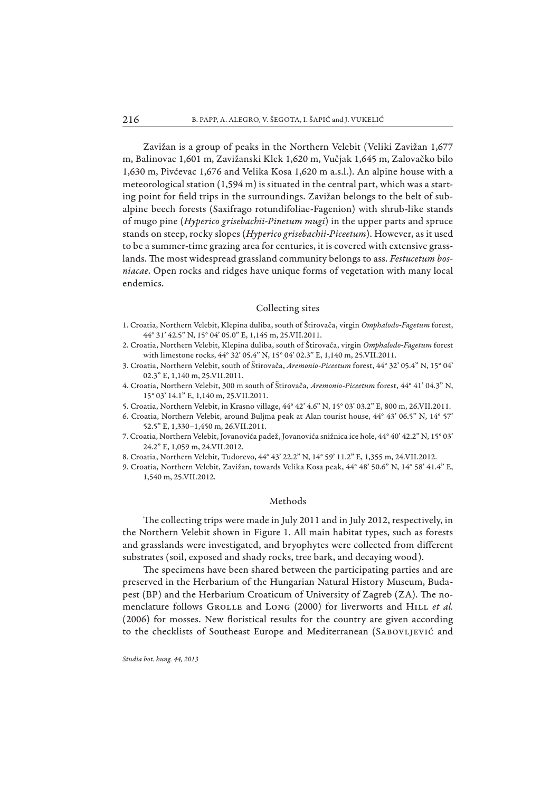Zavižan is a group of peaks in the Northern Velebit (Veliki Zavižan 1,677 m, Balinovac 1,601 m, Zavižanski Klek 1,620 m, Vučjak 1,645 m, Zalovačko bilo 1,630 m, Pivćevac 1,676 and Velika Kosa 1,620 m a.s.l.). An alpine house with a meteorological station  $(1,594 \text{ m})$  is situated in the central part, which was a starting point for field trips in the surroundings. Zavižan belongs to the belt of subalpine beech forests (Saxifrago rotundifoliae-Fagenion) with shrub-like stands of mugo pine (*Hyperico grisebachii-Pinetum mugi*) in the upper parts and spruce stands on steep, rocky slopes (*Hyperico grisebachii-Piceetum*). However, as it used to be a summer-time grazing area for centuries, it is covered with extensive grasslands. The most widespread grassland community belongs to ass. *Festucetum bosniacae*. Open rocks and ridges have unique forms of vegetation with many local endemics.

### Collecting sites

- 1. Croatia, Northern Velebit, Klepina duliba, south of Štirovača, virgin *Omphalodo-Fagetum* forest, 44° 31' 42.5" N, 15° 04' 05.0" E, 1,145 m, 25.VII.2011.
- 2. Croatia, Northern Velebit, Klepina duliba, south of Štirovača, virgin *Omphalodo-Fagetum* forest with limestone rocks, 44° 32' 05.4" N, 15° 04' 02.3" E, 1,140 m, 25.VII.2011.
- 3. Croatia, Northern Velebit, south of Štirovača, *Aremonio-Piceetum* forest, 44° 32' 05.4" N, 15° 04' 02.3" E, 1,140 m, 25.VII.2011.
- 4. Croatia, Northern Velebit, 300 m south of Štirovača, *Aremonio-Piceetum* forest, 44° 41' 04.3" N, 15° 03' 14.1" E, 1,140 m, 25.VII.2011.
- 5. Croatia, Northern Velebit, in Krasno village, 44° 42' 4.6" N, 15° 03' 03.2" E, 800 m, 26.VII.2011.
- 6. Croatia, Northern Velebit, around Buljma peak at Alan tourist house, 44° 43' 06.5" N, 14° 57' 52.5" E, 1,330–1,450 m, 26.VII.2011.
- 7. Croatia, Northern Velebit, Jovanovića padež, Jovanovića snižnica ice hole, 44° 40' 42.2" N, 15° 03' 24.2" E, 1,059 m, 24.VII.2012.
- 8. Croatia, Northern Velebit, Tudorevo, 44° 43' 22.2" N, 14° 59' 11.2" E, 1,355 m, 24.VII.2012.
- 9. Croatia, Northern Velebit, Zavižan, towards Velika Kosa peak, 44° 48' 50.6" N, 14° 58' 41.4" E, 1,540 m, 25.VII.2012.

# Methods

The collecting trips were made in July 2011 and in July 2012, respectively, in the Northern Velebit shown in Figure 1. All main habitat types, such as forests and grasslands were investigated, and bryophytes were collected from different substrates (soil, exposed and shady rocks, tree bark, and decaying wood).

The specimens have been shared between the participating parties and are preserved in the Herbarium of the Hungarian Natural History Museum, Budapest (BP) and the Herbarium Croaticum of University of Zagreb (ZA). The nomenclature follows GROLLE and LONG (2000) for liverworts and HILL et al.  $(2006)$  for mosses. New floristical results for the country are given according to the checklists of Southeast Europe and Mediterranean (SABOVLJEVIĆ and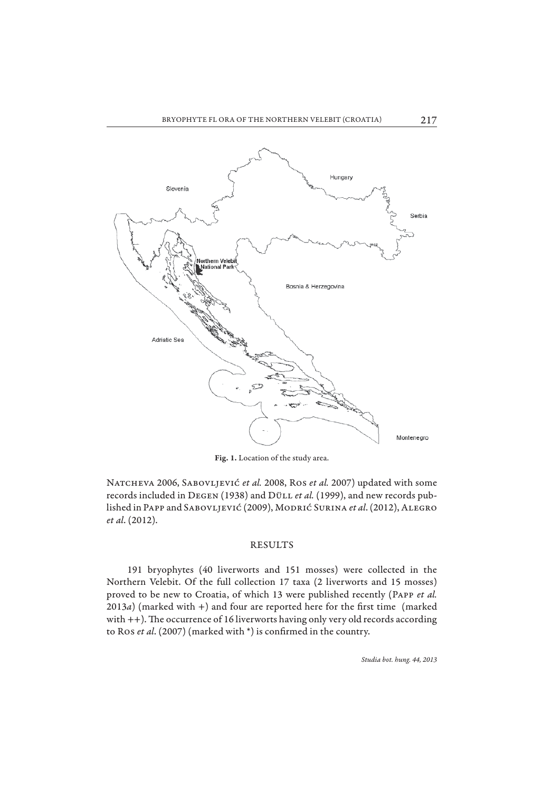

**Fig. 1.** Location of the study area.

Natcheva 2006, Sabovljević *et al.* 2008, Ros *et al.* 2007) updated with some records included in Degen (1938) and Düll *et al.* (1999), and new records published in Papp and Sabovljević (2009), Modrić Surina *et al*. (2012), Alegro *et al*. (2012).

### RESULTS

191 bryophytes (40 liverworts and 151 mosses) were collected in the Northern Velebit. Of the full collection 17 taxa (2 liverworts and 15 mosses) proved to be new to Croatia, of which 13 were published recently (Papp *et al.*  $2013a$ ) (marked with +) and four are reported here for the first time (marked with  $++$ ). The occurrence of 16 liverworts having only very old records according to Ros *et al.* (2007) (marked with \*) is confirmed in the country.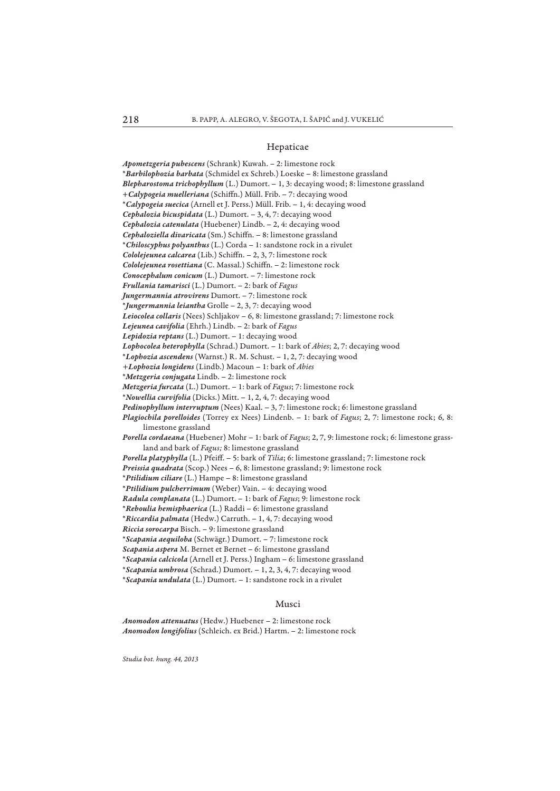#### Hepaticae

*Apometzgeria pubescens* (Schrank) Kuwah. – 2: limestone rock \**Barbilophozia barbata* (Schmidel ex Schreb.) Loeske – 8: limestone grassland *Blepharostoma trichophyllum* (L.) Dumort. – 1, 3: decaying wood; 8: limestone grassland +*Calypogeia muelleriana* (Schiffn.) Müll. Frib. - 7: decaying wood \**Calypogeia suecica* (Arnell et J. Perss.) Müll. Frib. – 1, 4: decaying wood *Cephalozia bicuspidata* (L.) Dumort. – 3, 4, 7: decaying wood *Cephalozia catenulata* (Huebener) Lindb. – 2, 4: decaying wood *Cephaloziella divaricata* (Sm.) Schiffn. - 8: limestone grassland \**Chiloscyphus polyanthus* (L.) Corda – 1: sandstone rock in a rivulet *Cololejeunea calcarea* (Lib.) Schiffn. - 2, 3, 7: limestone rock *Cololejeunea rosettiana* (C. Massal.) Schiffn. - 2: limestone rock *Conocephalum conicum* (L.) Dumort. – 7: limestone rock *Frullania tamarisci* (L.) Dumort. – 2: bark of *Fagus Jungermannia atrovirens* Dumort. – 7: limestone rock \**Jungermannia leiantha* Grolle – 2, 3, 7: decaying wood *Leiocolea collaris* (Nees) Schljakov – 6, 8: limestone grassland; 7: limestone rock *Lejeunea cavifolia* (Ehrh.) Lindb. – 2: bark of *Fagus Lepidozia reptans* (L.) Dumort. – 1: decaying wood *Lophocolea heterophylla* (Schrad.) Dumort. – 1: bark of *Abies*; 2, 7: decaying wood \**Lophozia ascendens* (Warnst.) R. M. Schust. – 1, 2, 7: decaying wood *+Lophozia longidens* (Lindb.) Macoun – 1: bark of *Abies* \**Metzgeria conjugata* Lindb. – 2: limestone rock *Metzgeria furcata* (L.) Dumort. – 1: bark of *Fagus*; 7: limestone rock \**Nowellia curvifolia* (Dicks.) Mitt. – 1, 2, 4, 7: decaying wood *Pedinophyllum interruptum* (Nees) Kaal. – 3, 7: limestone rock; 6: limestone grassland *Plagiochila porelloides* (Torrey ex Nees) Lindenb. – 1: bark of *Fagus*; 2, 7: limestone rock; 6, 8: limestone grassland *Porella cordaeana* (Huebener) Mohr – 1: bark of *Fagus*; 2, 7, 9: limestone rock; 6: limestone grassland and bark of *Fagus;* 8: limestone grassland *Porella platyphylla* (L.) Pfeiff . – 5: bark of *Tilia*; 6: limestone grassland; 7: limestone rock *Preissia quadrata* (Scop.) Nees – 6, 8: limestone grassland; 9: limestone rock \**Ptilidium ciliare* (L.) Hampe – 8: limestone grassland \**Ptilidium pulcherrimum* (Weber) Vain. – 4: decaying wood *Radula complanata* (L.) Dumort. – 1: bark of *Fagus*; 9: limestone rock \**Reboulia hemisphaerica* (L.) Raddi – 6: limestone grassland \**Riccardia palmata* (Hedw.) Carruth. – 1, 4, 7: decaying wood *Riccia sorocarpa* Bisch. – 9: limestone grassland \**Scapania aequiloba* (Schwägr.) Dumort. – 7: limestone rock *Scapania aspera* M. Bernet et Bernet – 6: limestone grassland \**Scapania calcicola* (Arnell et J. Perss.) Ingham – 6: limestone grassland \**Scapania umbrosa* (Schrad.) Dumort. – 1, 2, 3, 4, 7: decaying wood \**Scapania undulata* (L.) Dumort. – 1: sandstone rock in a rivulet

#### Musci

*Anomodon attenuatus* (Hedw.) Huebener – 2: limestone rock *Anomodon longifolius* (Schleich. ex Brid.) Hartm. – 2: limestone rock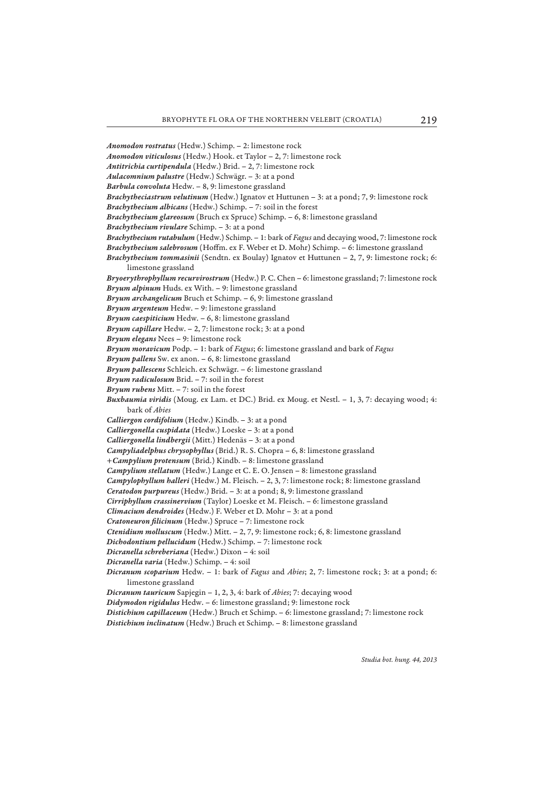*Anomodon rostratus* (Hedw.) Schimp. – 2: limestone rock *Anomodon viticulosus* (Hedw.) Hook. et Taylor – 2, 7: limestone rock *Antitrichia curtipendula* (Hedw.) Brid. – 2, 7: limestone rock *Aulacomnium palustre* (Hedw.) Schwägr. – 3: at a pond *Barbula convoluta* Hedw. – 8, 9: limestone grassland *Brachytheciastrum velutinum* (Hedw.) Ignatov et Huttunen – 3: at a pond; 7, 9: limestone rock *Brachythecium albicans* (Hedw.) Schimp. – 7: soil in the forest *Brachythecium glareosum* (Bruch ex Spruce) Schimp. – 6, 8: limestone grassland *Brachythecium rivulare* Schimp. – 3: at a pond *Brachythecium rutabulum* (Hedw.) Schimp. – 1: bark of *Fagus* and decaying wood, 7: limestone rock *Brachythecium salebrosum* (Hoffm. ex F. Weber et D. Mohr) Schimp. - 6: limestone grassland *Brachythecium tommasinii* (Sendtn. ex Boulay) Ignatov et Huttunen – 2, 7, 9: limestone rock; 6: limestone grassland *Bryoerythrophyllum recurvirostrum* (Hedw.) P. C. Chen – 6: limestone grassland; 7: limestone rock *Bryum alpinum* Huds. ex With. – 9: limestone grassland *Bryum archangelicum* Bruch et Schimp. – 6, 9: limestone grassland *Bryum argenteum* Hedw. – 9: limestone grassland *Bryum caespiticium* Hedw. – 6, 8: limestone grassland *Bryum capillare* Hedw. – 2, 7: limestone rock; 3: at a pond *Bryum elegans* Nees – 9: limestone rock *Bryum moravicum* Podp. – 1: bark of *Fagus*; 6: limestone grassland and bark of *Fagus Bryum pallens* Sw. ex anon. – 6, 8: limestone grassland *Bryum pallescens* Schleich. ex Schwägr. – 6: limestone grassland *Bryum radiculosum* Brid. – 7: soil in the forest *Bryum rubens* Mitt. – 7: soil in the forest *Buxbaumia viridis* (Moug. ex Lam. et DC.) Brid. ex Moug. et Nestl. – 1, 3, 7: decaying wood; 4: bark of *Abies Calliergon cordifolium* (Hedw.) Kindb. – 3: at a pond *Calliergonella cuspidata* (Hedw.) Loeske – 3: at a pond *Calliergonella lindbergii* (Mitt.) Hedenäs – 3: at a pond *Campyliadelphus chrysophyllus* (Brid.) R. S. Chopra – 6, 8: limestone grassland *+Campylium protensum* (Brid.) Kindb. – 8: limestone grassland *Campylium stellatum* (Hedw.) Lange et C. E. O. Jensen – 8: limestone grassland *Campylophyllum halleri* (Hedw.) M. Fleisch. – 2, 3, 7: limestone rock; 8: limestone grassland *Ceratodon purpureus* (Hedw.) Brid. – 3: at a pond; 8, 9: limestone grassland *Cirriphyllum crassinervium* (Taylor) Loeske et M. Fleisch. – 6: limestone grassland *Climacium dendroides* (Hedw.) F. Weber et D. Mohr – 3: at a pond *Cratoneuron filicinum* (Hedw.) Spruce - 7: limestone rock *Ctenidium molluscum* (Hedw.) Mitt. – 2, 7, 9: limestone rock; 6, 8: limestone grassland *Dichodontium pellucidum* (Hedw.) Schimp. – 7: limestone rock *Dicranella schreberiana* (Hedw.) Dixon – 4: soil *Dicranella varia* (Hedw.) Schimp. – 4: soil *Dicranum scoparium* Hedw. – 1: bark of *Fagus* and *Abies*; 2, 7: limestone rock; 3: at a pond; 6: limestone grassland *Dicranum tauricum* Sapjegin – 1, 2, 3, 4: bark of *Abies*; 7: decaying wood *Didymodon rigidulus* Hedw. – 6: limestone grassland; 9: limestone rock *Distichium capillaceum* (Hedw.) Bruch et Schimp. – 6: limestone grassland; 7: limestone rock *Distichium inclinatum* (Hedw.) Bruch et Schimp. – 8: limestone grassland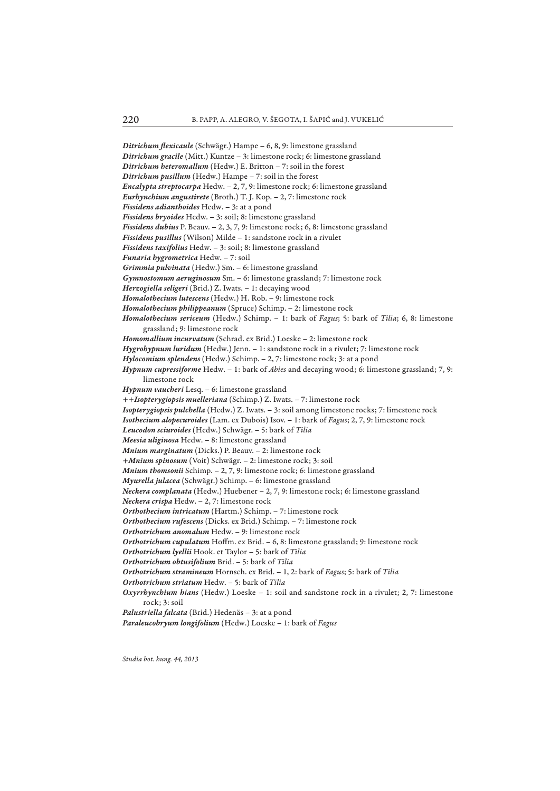Ditrichum flexicaule (Schwägr.) Hampe - 6, 8, 9: limestone grassland *Ditrichum gracile* (Mitt.) Kuntze – 3: limestone rock; 6: limestone grassland *Ditrichum heteromallum* (Hedw.) E. Britton – 7: soil in the forest *Ditrichum pusillum* (Hedw.) Hampe – 7: soil in the forest *Encalypta streptocarpa* Hedw. – 2, 7, 9: limestone rock; 6: limestone grassland *Eurhynchium angustirete* (Broth.) T. J. Kop. – 2, 7: limestone rock *Fissidens adianthoides* Hedw. – 3: at a pond *Fissidens bryoides* Hedw. – 3: soil; 8: limestone grassland *Fissidens dubius* P. Beauv. – 2, 3, 7, 9: limestone rock; 6, 8: limestone grassland *Fissidens pusillus* (Wilson) Milde – 1: sandstone rock in a rivulet *Fissidens taxifolius* Hedw. – 3: soil; 8: limestone grassland *Funaria hygrometrica* Hedw. – 7: soil *Grimmia pulvinata* (Hedw.) Sm. – 6: limestone grassland *Gymnostomum aeruginosum* Sm. – 6: limestone grassland; 7: limestone rock *Herzogiella seligeri* (Brid.) Z. Iwats. – 1: decaying wood *Homalothecium lutescens* (Hedw.) H. Rob. – 9: limestone rock *Homalothecium philippeanum* (Spruce) Schimp. – 2: limestone rock *Homalothecium sericeum* (Hedw.) Schimp. – 1: bark of *Fagus*; 5: bark of *Tilia*; 6, 8: limestone grassland; 9: limestone rock *Homomallium incurvatum* (Schrad. ex Brid.) Loeske – 2: limestone rock *Hygrohypnum luridum* (Hedw.) Jenn. – 1: sandstone rock in a rivulet; 7: limestone rock *Hylocomium splendens* (Hedw.) Schimp. – 2, 7: limestone rock; 3: at a pond *Hypnum cupressiforme* Hedw. – 1: bark of *Abies* and decaying wood; 6: limestone grassland; 7, 9: limestone rock *Hypnum vaucheri* Lesq. – 6: limestone grassland *++Isopterygiopsis muelleriana* (Schimp.) Z. Iwats. – 7: limestone rock *Isopterygiopsis pulchella* (Hedw.) Z. Iwats. – 3: soil among limestone rocks; 7: limestone rock *Isothecium alopecuroides* (Lam. ex Dubois) Isov. – 1: bark of *Fagus*; 2, 7, 9: limestone rock *Leucodon sciuroides* (Hedw.) Schwägr. – 5: bark of *Tilia Meesia uliginosa* Hedw. – 8: limestone grassland *Mnium marginatum* (Dicks.) P. Beauv. – 2: limestone rock *+Mnium spinosum* (Voit) Schwägr. – 2: limestone rock; 3: soil *Mnium thomsonii* Schimp. – 2, 7, 9: limestone rock; 6: limestone grassland *Myurella julacea* (Schwägr.) Schimp. – 6: limestone grassland *Neckera complanata* (Hedw.) Huebener – 2, 7, 9: limestone rock; 6: limestone grassland *Neckera crispa* Hedw. – 2, 7: limestone rock *Orthothecium intricatum* (Hartm.) Schimp. – 7: limestone rock *Orthothecium rufescens* (Dicks. ex Brid.) Schimp. – 7: limestone rock *Orthotrichum anomalum* Hedw. – 9: limestone rock Orthotrichum cupulatum Hoffm. ex Brid. - 6, 8: limestone grassland; 9: limestone rock *Orthotrichum lyellii* Hook. et Taylor – 5: bark of *Tilia Orthotrichum obtusifolium* Brid. – 5: bark of *Tilia Orthotrichum stramineum* Hornsch. ex Brid. – 1, 2: bark of *Fagus*; 5: bark of *Tilia Orthotrichum striatum* Hedw. – 5: bark of *Tilia Oxyrrhynchium hians* (Hedw.) Loeske – 1: soil and sandstone rock in a rivulet; 2, 7: limestone rock; 3: soil *Palustriella falcata* (Brid.) Hedenäs – 3: at a pond *Paraleucobryum longifolium* (Hedw.) Loeske – 1: bark of *Fagus*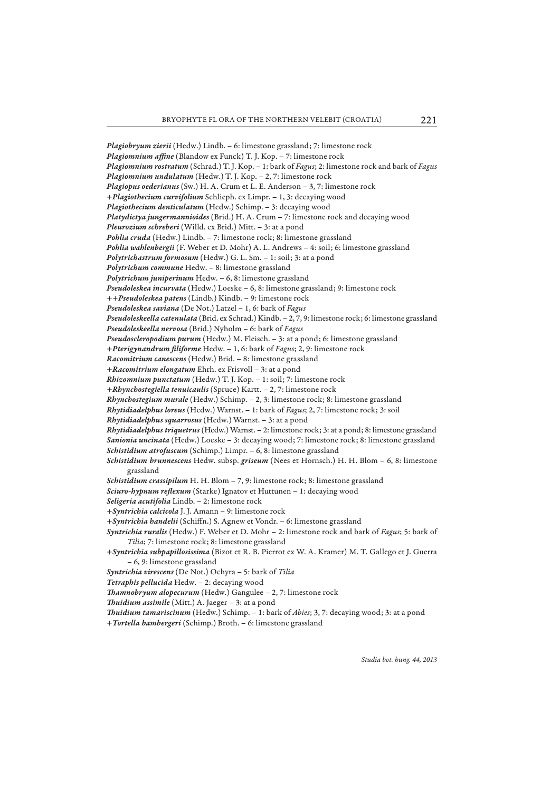*Plagiobryum zierii* (Hedw.) Lindb. – 6: limestone grassland; 7: limestone rock *Plagiomnium affine* (Blandow ex Funck) T. J. Kop. - 7: limestone rock *Plagiomnium rostratum* (Schrad.) T. J. Kop. – 1: bark of *Fagus*; 2: limestone rock and bark of *Fagus Plagiomnium undulatum* (Hedw.) T. J. Kop. – 2, 7: limestone rock *Plagiopus oederianus* (Sw.) H. A. Crum et L. E. Anderson – 3, 7: limestone rock *+Plagiothecium curvifolium* Schlieph. ex Limpr. – 1, 3: decaying wood *Plagiothecium denticulatum* (Hedw.) Schimp. – 3: decaying wood *Platydictya jungermannioides* (Brid.) H. A. Crum – 7: limestone rock and decaying wood *Pleurozium schreberi* (Willd. ex Brid.) Mitt. – 3: at a pond *Pohlia cruda* (Hedw.) Lindb. – 7: limestone rock; 8: limestone grassland *Pohlia wahlenbergii* (F. Weber et D. Mohr) A. L. Andrews – 4: soil; 6: limestone grassland *Polytrichastrum formosum* (Hedw.) G. L. Sm. – 1: soil; 3: at a pond *Polytrichum commune* Hedw. – 8: limestone grassland *Polytrichum juniperinum* Hedw. – 6, 8: limestone grassland *Pseudoleskea incurvata* (Hedw.) Loeske – 6, 8: limestone grassland; 9: limestone rock *++Pseudoleskea patens* (Lindb.) Kindb. – 9: limestone rock *Pseudoleskea saviana* (De Not.) Latzel – 1, 6: bark of *Fagus Pseudoleskeella catenulata* (Brid. ex Schrad.) Kindb. – 2, 7, 9: limestone rock; 6: limestone grassland *Pseudoleskeella nervosa* (Brid.) Nyholm – 6: bark of *Fagus Pseudoscleropodium purum* (Hedw.) M. Fleisch. – 3: at a pond; 6: limestone grassland *+Pterigynandrum filiforme* Hedw. - 1, 6: bark of *Fagus*; 2, 9: limestone rock *Racomitrium canescens* (Hedw.) Brid. – 8: limestone grassland *+Racomitrium elongatum* Ehrh. ex Frisvoll – 3: at a pond *Rhizomnium punctatum* (Hedw.) T. J. Kop. – 1: soil; 7: limestone rock *+Rhynchostegiella tenuicaulis* (Spruce) Kartt. – 2, 7: limestone rock *Rhynchostegium murale* (Hedw.) Schimp. – 2, 3: limestone rock; 8: limestone grassland *Rhytidiadelphus loreus* (Hedw.) Warnst. – 1: bark of *Fagus*; 2, 7: limestone rock; 3: soil *Rhytidiadelphus squarrosus* (Hedw.) Warnst. – 3: at a pond *Rhytidiadelphus triquetrus* (Hedw.) Warnst. – 2: limestone rock; 3: at a pond; 8: limestone grassland *Sanionia uncinata* (Hedw.) Loeske – 3: decaying wood; 7: limestone rock; 8: limestone grassland *Schistidium atrofuscum* (Schimp.) Limpr. – 6, 8: limestone grassland *Schistidium brunnescens* Hedw. subsp. *griseum* (Nees et Hornsch.) H. H. Blom – 6, 8: limestone grassland *Schistidium crassipilum* H. H. Blom – 7, 9: limestone rock; 8: limestone grassland Sciuro-hypnum reflexum (Starke) Ignatov et Huttunen - 1: decaying wood *Seligeria acutifolia* Lindb. – 2: limestone rock *+Syntrichia calcicola* J. J. Amann – 9: limestone rock + *Syntrichia handelii* (Schiffn.) S. Agnew et Vondr. - 6: limestone grassland *Syntrichia ruralis* (Hedw.) F. Weber et D. Mohr – 2: limestone rock and bark of *Fagus*; 5: bark of *Tilia*; 7: limestone rock; 8: limestone grassland *+Syntrichia subpapillosissima* (Bizot et R. B. Pierrot ex W. A. Kramer) M. T. Gallego et J. Guerra – 6, 9: limestone grassland *Syntrichia virescens* (De Not.) Ochyra – 5: bark of *Tilia Tetraphis pellucida* Hedw. – 2: decaying wood *Thamnobryum alopecurum* (Hedw.) Gangulee - 2, 7: limestone rock

*Th uidium assimile* (Mitt.) A. Jaeger – 3: at a pond

*Th uidium tamariscinum* (Hedw.) Schimp. – 1: bark of *Abies*; 3, 7: decaying wood; 3: at a pond *+Tortella bambergeri* (Schimp.) Broth. – 6: limestone grassland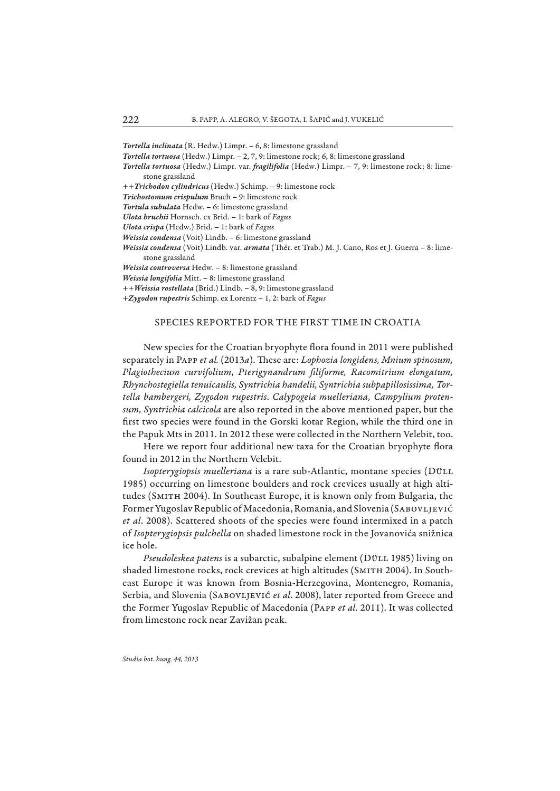*Tortella inclinata* (R. Hedw.) Limpr. – 6, 8: limestone grassland

- *Tortella tortuosa* (Hedw.) Limpr. 2, 7, 9: limestone rock; 6, 8: limestone grassland
- *Tortella tortuosa* (Hedw.) Limpr. var. *fragilifolia* (Hedw.) Limpr. 7, 9: limestone rock; 8: limestone grassland
- *++Trichodon cylindricus* (Hedw.) Schimp. 9: limestone rock
- *Trichostomum crispulum* Bruch 9: limestone rock
- *Tortula subulata* Hedw. 6: limestone grassland
- *Ulota bruchii* Hornsch. ex Brid. 1: bark of *Fagus*
- *Ulota crispa* (Hedw.) Brid. 1: bark of *Fagus*
- *Weissia condensa* (Voit) Lindb. 6: limestone grassland
- *Weissia condensa* (Voit) Lindb. var. *armata* (Thér. et Trab.) M. J. Cano, Ros et J. Guerra 8: limestone grassland
- *Weissia controversa* Hedw. 8: limestone grassland
- *Weissia longifolia* Mitt. 8: limestone grassland
- *++Weissia rostellata* (Brid.) Lindb. 8, 9: limestone grassland
- *+Zygodon rupestris* Schimp. ex Lorentz 1, 2: bark of *Fagus*

### SPECIES REPORTED FOR THE FIRST TIME IN CROATIA

New species for the Croatian bryophyte flora found in 2011 were published separately in PAPP et al. (2013a). These are: *Lophozia longidens, Mnium spinosum, Plagiothecium curvifolium*, *Pterigynandrum fi liforme, Racomitrium elongatum, Rhynchostegiella tenuicaulis, Syntrichia handelii, Syntrichia subpapillosissima, Tortella bambergeri, Zygodon rupestris*. *Calypogeia muelleriana, Campylium protensum, Syntrichia calcicola* are also reported in the above mentioned paper, but the first two species were found in the Gorski kotar Region, while the third one in the Papuk Mts in 2011. In 2012 these were collected in the Northern Velebit, too.

Here we report four additional new taxa for the Croatian bryophyte flora found in 2012 in the Northern Velebit.

*Isopterygiopsis muelleriana* is a rare sub-Atlantic, montane species (Düll 1985) occurring on limestone boulders and rock crevices usually at high altitudes (Smith 2004). In Southeast Europe, it is known only from Bulgaria, the Former Yugoslav Republic of Macedonia, Romania, and Slovenia (SABOVLJEVIĆ *et al*. 2008). Scattered shoots of the species were found intermixed in a patch of *Isopterygiopsis pulchella* on shaded limestone rock in the Jovanovića snižnica ice hole.

*Pseudoleskea patens* is a subarctic, subalpine element (Düll 1985) living on shaded limestone rocks, rock crevices at high altitudes (SMITH 2004). In Southeast Europe it was known from Bosnia-Herzegovina, Montenegro, Romania, Serbia, and Slovenia (SABOVLJEVIĆ et al. 2008), later reported from Greece and the Former Yugoslav Republic of Macedonia (Papp *et al*. 2011). It was collected from limestone rock near Zavižan peak.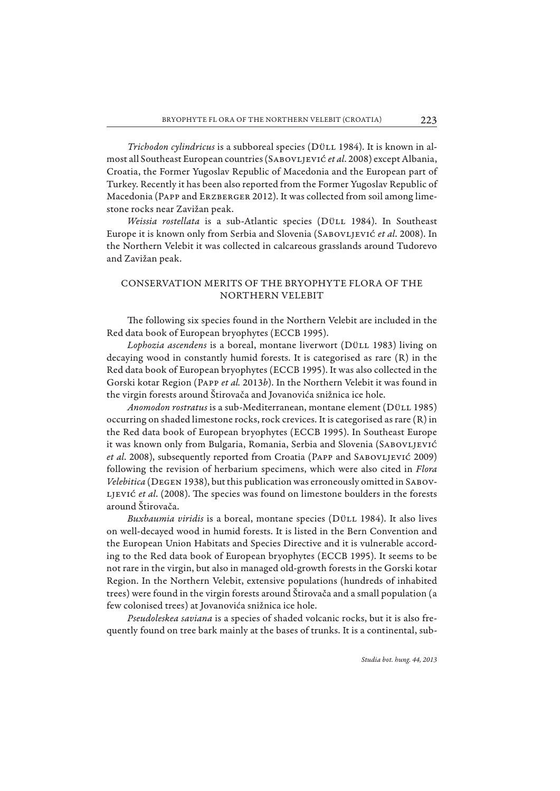*Trichodon cylindricus* is a subboreal species (DÜLL 1984). It is known in almost all Southeast European countries (Sabovljević *et al*. 2008) except Albania, Croatia, the Former Yugoslav Republic of Macedonia and the European part of Turkey. Recently it has been also reported from the Former Yugoslav Republic of Macedonia (Papp and Erzberger 2012). It was collected from soil among limestone rocks near Zavižan peak.

*Weissia rostellata* is a sub-Atlantic species (Düll 1984). In Southeast Europe it is known only from Serbia and Slovenia (Sabovljević *et al*. 2008). In the Northern Velebit it was collected in calcareous grasslands around Tudorevo and Zavižan peak.

# CONSERVATION MERITS OF THE BRYOPHYTE FLORA OF THE NORTHERN VELEBIT

The following six species found in the Northern Velebit are included in the Red data book of European bryophytes (ECCB 1995).

*Lophozia ascendens* is a boreal, montane liverwort (Düll 1983) living on decaying wood in constantly humid forests. It is categorised as rare (R) in the Red data book of European bryophytes (ECCB 1995). It was also collected in the Gorski kotar Region (Papp *et al.* 2013*b*). In the Northern Velebit it was found in the virgin forests around Štirovača and Jovanovića snižnica ice hole.

*Anomodon rostratus* is a sub-Mediterranean, montane element (Düll 1985) occurring on shaded limestone rocks, rock crevices. It is categorised as rare (R) in the Red data book of European bryophytes (ECCB 1995). In Southeast Europe it was known only from Bulgaria, Romania, Serbia and Slovenia (SABOVLJEVIĆ et al. 2008), subsequently reported from Croatia (PAPP and SABOVLJEVIĆ 2009) following the revision of herbarium specimens, which were also cited in *Flora Velebitica* (DEGEN 1938), but this publication was erroneously omitted in SABOV-LJEVIĆ *et al.* (2008). The species was found on limestone boulders in the forests around Štirovača.

*Buxbaumia viridis* is a boreal, montane species (Düll 1984). It also lives on well-decayed wood in humid forests. It is listed in the Bern Convention and the European Union Habitats and Species Directive and it is vulnerable according to the Red data book of European bryophytes (ECCB 1995). It seems to be not rare in the virgin, but also in managed old-growth forests in the Gorski kotar Region. In the Northern Velebit, extensive populations (hundreds of inhabited trees) were found in the virgin forests around Štirovača and a small population (a few colonised trees) at Jovanovića snižnica ice hole.

*Pseudoleskea saviana* is a species of shaded volcanic rocks, but it is also frequently found on tree bark mainly at the bases of trunks. It is a continental, sub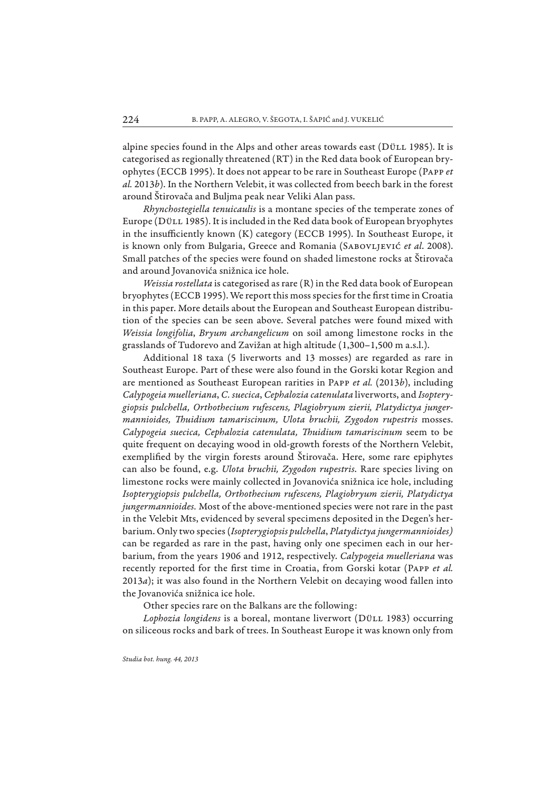alpine species found in the Alps and other areas towards east (DüLL 1985). It is categorised as regionally threatened (RT) in the Red data book of European bryophytes (ECCB 1995). It does not appear to be rare in Southeast Europe (Papp *et al.* 2013*b*). In the Northern Velebit, it was collected from beech bark in the forest around Štiro vača and Buljma peak near Veliki Alan pass.

*Rhynchostegiella tenuicaulis* is a montane species of the temperate zones of Europe (Düll 1985). It is included in the Red data book of European bryophytes in the insufficiently known  $(K)$  category (ECCB 1995). In Southeast Europe, it is known only from Bulgaria, Greece and Romania (SABOVLJEVIĆ et al. 2008). Small patches of the species were found on shaded limestone rocks at Štirovača and around Jovanovića snižnica ice hole.

*Weissia rostellata* is categorised as rare (R) in the Red data book of European bryophytes (ECCB 1995). We report this moss species for the first time in Croatia in this paper. More details about the European and Southeast European distribution of the species can be seen above. Several patches were found mixed with *Weissia longifolia*, *Bryum archangelicum* on soil among limestone rocks in the grasslands of Tudorevo and Zavižan at high altitude (1,300–1,500 m a.s.l.).

Additional 18 taxa (5 liverworts and 13 mosses) are regarded as rare in Southeast Europe. Part of these were also found in the Gorski kotar Region and are mentioned as Southeast European rarities in Papp *et al.* (2013*b*), including *Calypogeia muelleriana*, *C. suecica*, *Cephalozia catenulata* liverworts, and *Isopterygiopsis pulchella, Orthothecium rufescens, Plagiobryum zierii, Platydictya jungermannioides, Th uidium tamariscinum, Ulota bruchii, Zygodon rupestris* mosses. *Calypogeia suecica, Cephalozia catenulata, Th uidium tamariscinum* seem to be quite frequent on decaying wood in old-growth forests of the Northern Velebit, exemplified by the virgin forests around Štirovača. Here, some rare epiphytes can also be found, e.g. *Ulota bruchii, Zygodon rupestris*. Rare species living on limestone rocks were mainly collected in Jovanovića snižnica ice hole, including *Isopterygiopsis pulchella, Orthothecium rufescens, Plagiobryum zierii, Platydictya jungermannioides.* Most of the above-mentioned species were not rare in the past in the Velebit Mts, evidenced by several specimens deposited in the Degen's herbarium. Only two species (*Isopterygiopsis pulchella*, *Platydictya jungermannioides)*  can be regarded as rare in the past, having only one specimen each in our herbarium, from the years 1906 and 1912, respectively. *Calypogeia muelleriana* was recently reported for the first time in Croatia, from Gorski kotar (PAPP *et al.* 2013*a*); it was also found in the Northern Velebit on decaying wood fallen into the Jovanovića snižnica ice hole.

Other species rare on the Balkans are the following:

*Lophozia longidens* is a boreal, montane liverwort (Düll 1983) occurring on siliceous rocks and bark of trees. In Southeast Europe it was known only from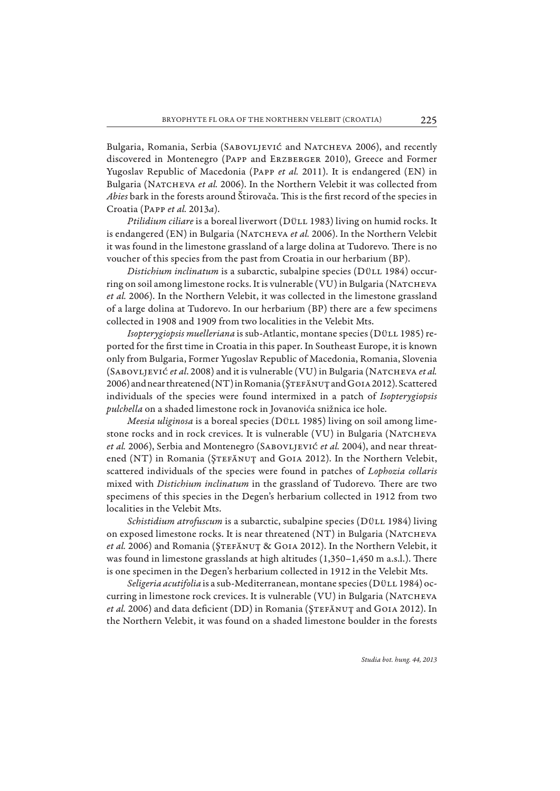Bulgaria, Romania, Serbia (SABOVLJEVIĆ and NATCHEVA 2006), and recently discovered in Montenegro (Papp and Erzberger 2010), Greece and Former Yugoslav Republic of Macedonia (Papp *et al.* 2011). It is endangered (EN) in Bulgaria (NATCHEVA *et al.* 2006). In the Northern Velebit it was collected from Abies bark in the forests around Štirovača. This is the first record of the species in Croatia (Papp *et al.* 2013*a*).

*Ptilidium ciliare* is a boreal liverwort (DÜLL 1983) living on humid rocks. It is endangered (EN) in Bulgaria (Natcheva *et al.* 2006). In the Northern Velebit it was found in the limestone grassland of a large dolina at Tudorevo. There is no voucher of this species from the past from Croatia in our herbarium (BP).

*Distichium inclinatum* is a subarctic, subalpine species (DÜLL 1984) occurring on soil among limestone rocks. It is vulnerable (VU) in Bulgaria (Natcheva *et al.* 2006). In the Northern Velebit, it was collected in the limestone grassland of a large dolina at Tudorevo. In our herbarium (BP) there are a few specimens collected in 1908 and 1909 from two localities in the Velebit Mts.

*Isopterygiopsis muelleriana* is sub-Atlantic, montane species (Düll 1985) reported for the first time in Croatia in this paper. In Southeast Europe, it is known only from Bulgaria, Former Yugoslav Republic of Macedonia, Romania, Slovenia (Sabovljević *et al*. 2008) and it is vulnerable (VU) in Bulgaria (Natcheva *et al.* 2006) and near threatened (NT) in Romania (ŞTEFĂNUȚ and GOIA 2012). Scattered individuals of the species were found intermixed in a patch of *Isopterygiopsis pulchella* on a shaded limestone rock in Jovanovića snižnica ice hole.

*Meesia uliginosa* is a boreal species (Düll 1985) living on soil among limestone rocks and in rock crevices. It is vulnerable (VU) in Bulgaria (NATCHEVA *et al.* 2006), Serbia and Montenegro (Sabovljević *et al.* 2004), and near threatened (NT) in Romania (ŞTEFĂNUȚ and GOIA 2012). In the Northern Velebit, scattered individuals of the species were found in patches of *Lophozia collaris* mixed with *Distichium inclinatum* in the grassland of Tudorevo. There are two specimens of this species in the Degen's herbarium collected in 1912 from two localities in the Velebit Mts.

*Schistidium atrofuscum* is a subarctic, subalpine species (DÜLL 1984) living on exposed limestone rocks. It is near threatened (NT) in Bulgaria (NATCHEVA et al. 2006) and Romania (ŞTEFĂNUȚ & GOIA 2012). In the Northern Velebit, it was found in limestone grasslands at high altitudes (1,350-1,450 m a.s.l.). There is one specimen in the Degen's herbarium collected in 1912 in the Velebit Mts.

*Seligeria acutifolia* is a sub-Mediterranean, montane species (Düll 1984) occurring in limestone rock crevices. It is vulnerable (VU) in Bulgaria (NATCHEVA *et al.* 2006) and data deficient (DD) in Romania (ŞTEFĂNUȚ and GOIA 2012). In the Northern Velebit, it was found on a shaded limestone boulder in the forests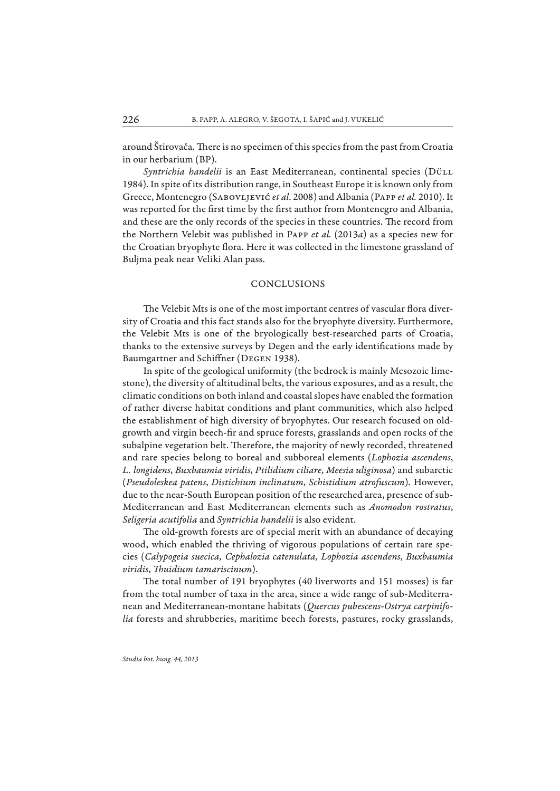around Štirovača. There is no specimen of this species from the past from Croatia in our herbarium (BP).

*Syntrichia handelii* is an East Mediterranean, continental species (Düll 1984). In spite of its distribution range, in Southeast Europe it is known only from Greece, Montenegro (Sabovljević *et al*. 2008) and Albania (Papp *et al.* 2010). It was reported for the first time by the first author from Montenegro and Albania, and these are the only records of the species in these countries. The record from the Northern Velebit was published in Papp *et al.* (2013*a*) as a species new for the Croatian bryophyte flora. Here it was collected in the limestone grassland of Buljma peak near Veliki Alan pass.

### CONCLUSIONS

The Velebit Mts is one of the most important centres of vascular flora diversity of Croatia and this fact stands also for the bryophyte diversity. Furthermore, the Velebit Mts is one of the bryologically best-researched parts of Croatia, thanks to the extensive surveys by Degen and the early identifications made by Baumgartner and Schiffner (DEGEN 1938).

In spite of the geological uniformity (the bedrock is mainly Mesozoic limestone), the diversity of altitudinal belts, the various exposures, and as a result, the climatic conditions on both inland and coastal slopes have enabled the formation of rather diverse habitat conditions and plant communities, which also helped the establishment of high diversity of bryophytes. Our research focused on oldgrowth and virgin beech-fir and spruce forests, grasslands and open rocks of the subalpine vegetation belt. Therefore, the majority of newly recorded, threatened and rare species belong to boreal and subboreal elements (*Lophozia ascendens*, *L. longidens*, *Buxbaumia viridis*, *Ptilidium ciliare*, *Meesia uliginosa*) and subarctic (*Pseudoleskea patens*, *Distichium inclinatum*, *Schis tidium atrofuscum*). However, due to the near-South European position of the researched area, presence of sub-Mediterranean and East Mediterranean elements such as *Anomodon rostratus*, *Seligeria acutifolia* and *Syntrichia handelii* is also evident.

The old-growth forests are of special merit with an abundance of decaying wood, which enabled the thriving of vigorous populations of certain rare species (*Calypogeia suecica, Cephalozia catenulata, Lophozia ascendens*, *Buxbaumia viridis*, *Th uidium tamariscinum*).

The total number of 191 bryophytes (40 liverworts and 151 mosses) is far from the total number of taxa in the area, since a wide range of sub-Mediterranean and Mediterranean-montane habitats (*Quercus pubescens*-*Ostrya carpinifolia* forests and shrubberies, maritime beech forests, pastures, rocky grasslands,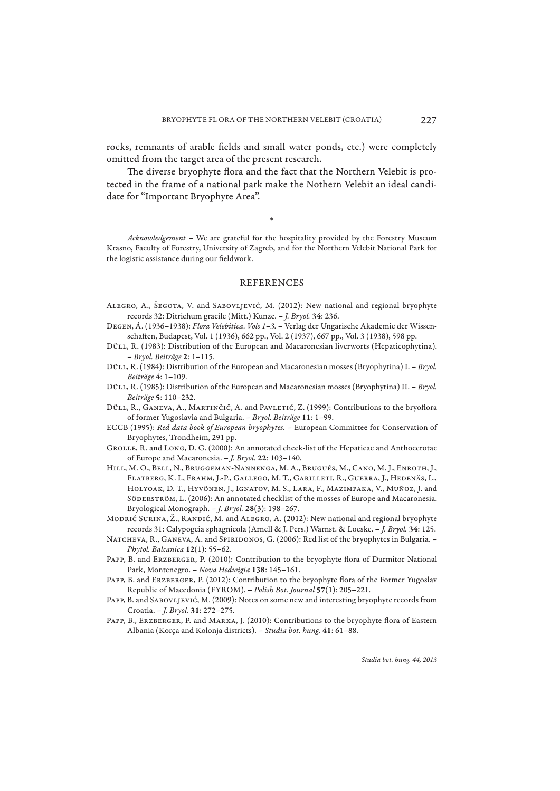rocks, remnants of arable fields and small water ponds, etc.) were completely omitted from the target area of the present research.

The diverse bryophyte flora and the fact that the Northern Velebit is protected in the frame of a national park make the Nothern Velebit an ideal candidate for "Important Bryophyte Area".

\*

*Acknowledgement* – We are grateful for the hospitality provided by the Forestry Museum Krasno, Faculty of Forestry, University of Zagreb, and for the Northern Velebit National Park for the logistic assistance during our fieldwork.

# REFERENCES

- Alegro, A., Šegota, V. and Sabovljević, M. (2012): New national and regional bryophyte records 32: Ditrichum gracile (Mitt.) Kunze. – *J. Bryol.* **34**: 236.
- Degen, Á. (1936–1938): *Flora Velebitica. Vols 1–3.* Verlag der Ungarische Akademie der Wissenschaft en, Budapest, Vol. 1 (1936), 662 pp., Vol. 2 (1937), 667 pp., Vol. 3 (1938), 598 pp.
- DüLL, R. (1983): Distribution of the European and Macaronesian liverworts (Hepaticophytina). – *Bryol. Beiträge* **2**: 1–115.
- Düll, R. (1984): Distribution of the European and Macaronesian mosses (Bryophytina) I. *Bryol. Beiträge* **4**: 1–109.
- Düll, R. (1985): Distribution of the European and Macaronesian mosses (Bryophytina) II. *Bryol. Beiträge* **5**: 110–232.

DüLL, R., GANEVA, A., MARTINČIČ, A. and PAVLETIĆ, Z. (1999): Contributions to the bryoflora of former Yugoslavia and Bulgaria. – *Bryol. Beiträge* **11**: 1–99.

- ECCB (1995): *Red data book of European bryophytes.* European Committee for Conservation of Bryophytes, Trondheim, 291 pp.
- Grolle, R. and Long, D. G. (2000): An annotated check-list of the Hepaticae and Anthocerotae of Europe and Macaronesia. – *J. Bryol.* **22**: 103–140.
- Hill, M. O., Bell, N., Bruggeman-Nannenga, M. A., Brugués, M., Cano, M. J., Enroth, J., Flatberg, K. I., Frahm, J.-P., Gallego, M. T., Garilleti, R., Guerra, J., Hedenäs, L., Holyoak, D. T., Hyvönen, J., Ignatov, M. S., Lara, F., Mazimpaka, V., Muñoz, J. and SÖDERSTRÖM, L. (2006): An annotated checklist of the mosses of Europe and Macaronesia. Bryological Monograph. – *J. Bryol.* **28**(3): 198–267.

Modrić Surina, Ž., Randić, M. and Alegro, A. (2012): New national and regional bryophyte records 31: Calypogeia sphagnicola (Arnell & J. Pers.) Warnst. & Loeske. – *J. Bryol.* **34**: 125.

- NATCHEVA, R., GANEVA, A. and SPIRIDONOS, G. (2006): Red list of the bryophytes in Bulgaria. -*Phytol. Balcanica* **12**(1): 55–62.
- PAPP, B. and ERZBERGER, P. (2010): Contribution to the bryophyte flora of Durmitor National Park, Montenegro. – *Nova Hedwigia* **138**: 145–161.
- PAPP, B. and ERZBERGER, P. (2012): Contribution to the bryophyte flora of the Former Yugoslav Republic of Macedonia (FYROM). – *Polish Bot. Journal* **57**(1): 205–221.
- PAPP, B. and SABOVLJEVIĆ, M. (2009): Notes on some new and interesting bryophyte records from Croatia. – *J. Bryol.* **31**: 272–275.
- PAPP, B., ERZBERGER, P. and MARKA, J. (2010): Contributions to the bryophyte flora of Eastern Albania (Korça and Kolonja districts). – *Studia bot. hung.* **41**: 61–88.